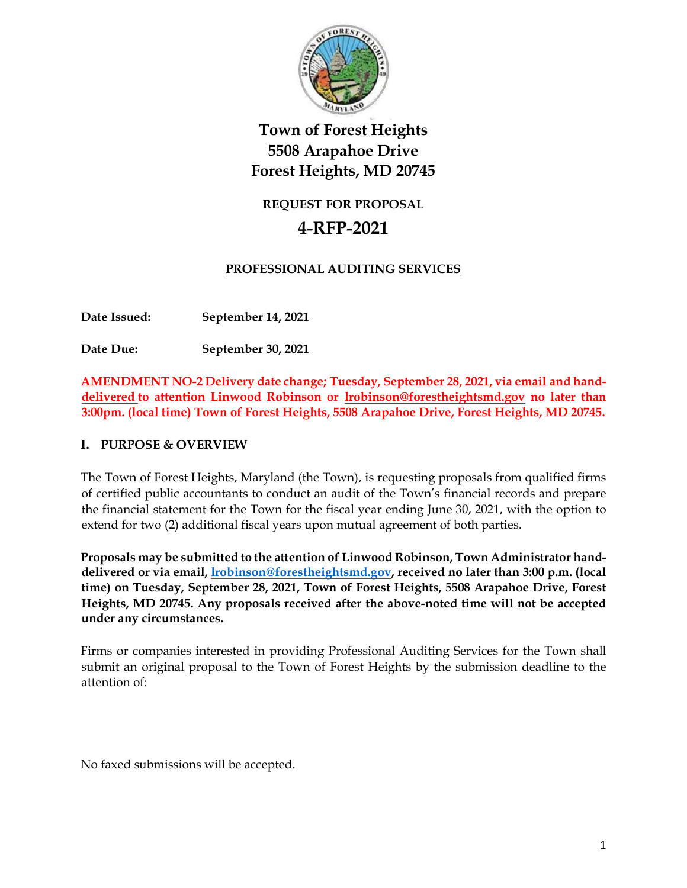

## **REQUEST FOR PROPOSAL**

# **4-RFP-2021**

## **PROFESSIONAL AUDITING SERVICES**

**Date Issued: September 14, 2021**

**Date Due: September 30, 2021**

**AMENDMENT NO-2 Delivery date change; Tuesday, September 28, 2021, via email and handdelivered to attention Linwood Robinson or [lrobinson@forestheightsmd.gov](mailto:lrobinson@forestheightsmd.gov) no later than 3:00pm. (local time) Town of Forest Heights, 5508 Arapahoe Drive, Forest Heights, MD 20745.**

## **I. PURPOSE & OVERVIEW**

The Town of Forest Heights, Maryland (the Town), is requesting proposals from qualified firms of certified public accountants to conduct an audit of the Town's financial records and prepare the financial statement for the Town for the fiscal year ending June 30, 2021, with the option to extend for two (2) additional fiscal years upon mutual agreement of both parties.

**Proposals may be submitted to the attention of Linwood Robinson, Town Administrator handdelivered or via email, [lrobinson@forestheightsmd.gov,](about:blank) received no later than 3:00 p.m. (local time) on Tuesday, September 28, 2021, Town of Forest Heights, 5508 Arapahoe Drive, Forest Heights, MD 20745. Any proposals received after the above-noted time will not be accepted under any circumstances.** 

Firms or companies interested in providing Professional Auditing Services for the Town shall submit an original proposal to the Town of Forest Heights by the submission deadline to the attention of:

No faxed submissions will be accepted.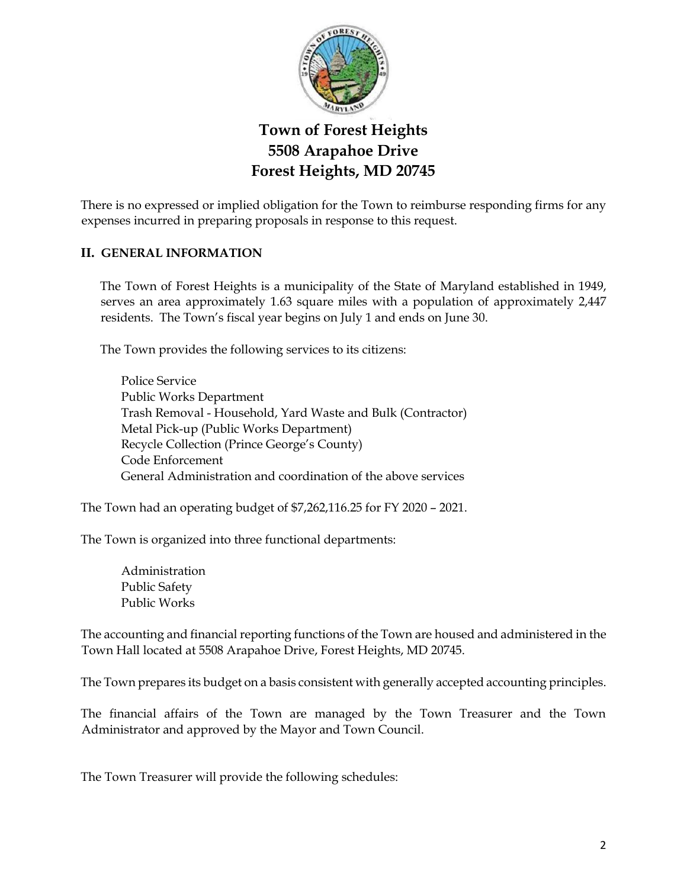

There is no expressed or implied obligation for the Town to reimburse responding firms for any expenses incurred in preparing proposals in response to this request.

### **II. GENERAL INFORMATION**

The Town of Forest Heights is a municipality of the State of Maryland established in 1949, serves an area approximately 1.63 square miles with a population of approximately 2,447 residents. The Town's fiscal year begins on July 1 and ends on June 30.

The Town provides the following services to its citizens:

Police Service Public Works Department Trash Removal - Household, Yard Waste and Bulk (Contractor) Metal Pick-up (Public Works Department) Recycle Collection (Prince George's County) Code Enforcement General Administration and coordination of the above services

The Town had an operating budget of \$7,262,116.25 for FY 2020 – 2021.

The Town is organized into three functional departments:

Administration Public Safety Public Works

The accounting and financial reporting functions of the Town are housed and administered in the Town Hall located at 5508 Arapahoe Drive, Forest Heights, MD 20745.

The Town prepares its budget on a basis consistent with generally accepted accounting principles.

The financial affairs of the Town are managed by the Town Treasurer and the Town Administrator and approved by the Mayor and Town Council.

The Town Treasurer will provide the following schedules: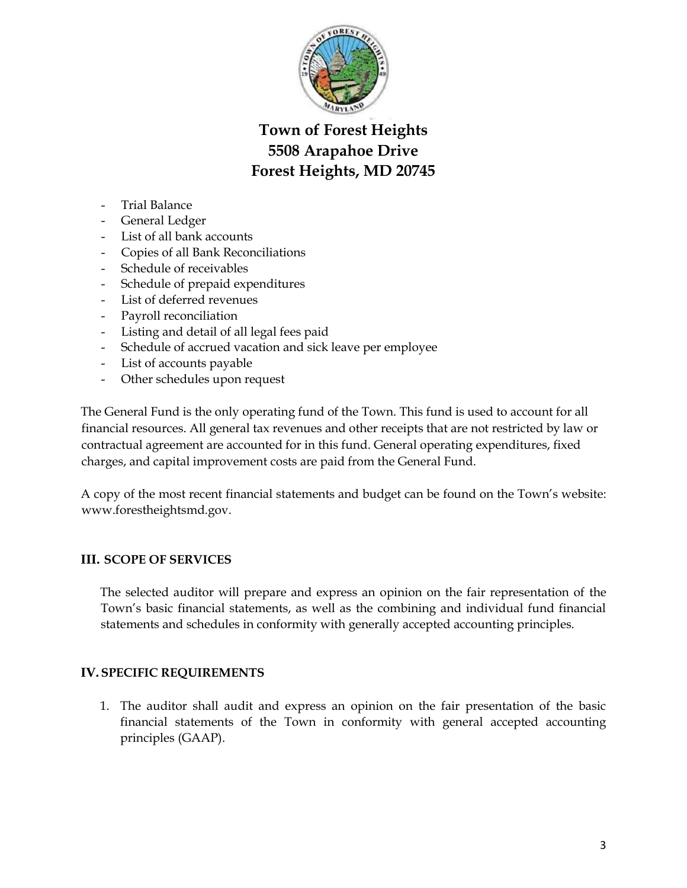

- Trial Balance
- General Ledger
- List of all bank accounts
- Copies of all Bank Reconciliations
- Schedule of receivables
- Schedule of prepaid expenditures
- List of deferred revenues
- Payroll reconciliation
- Listing and detail of all legal fees paid
- Schedule of accrued vacation and sick leave per employee
- List of accounts payable
- Other schedules upon request

The General Fund is the only operating fund of the Town. This fund is used to account for all financial resources. All general tax revenues and other receipts that are not restricted by law or contractual agreement are accounted for in this fund. General operating expenditures, fixed charges, and capital improvement costs are paid from the General Fund.

A copy of the most recent financial statements and budget can be found on the Town's website: www.forestheightsmd.gov.

### **III. SCOPE OF SERVICES**

The selected auditor will prepare and express an opinion on the fair representation of the Town's basic financial statements, as well as the combining and individual fund financial statements and schedules in conformity with generally accepted accounting principles.

### **IV.SPECIFIC REQUIREMENTS**

1. The auditor shall audit and express an opinion on the fair presentation of the basic financial statements of the Town in conformity with general accepted accounting principles (GAAP).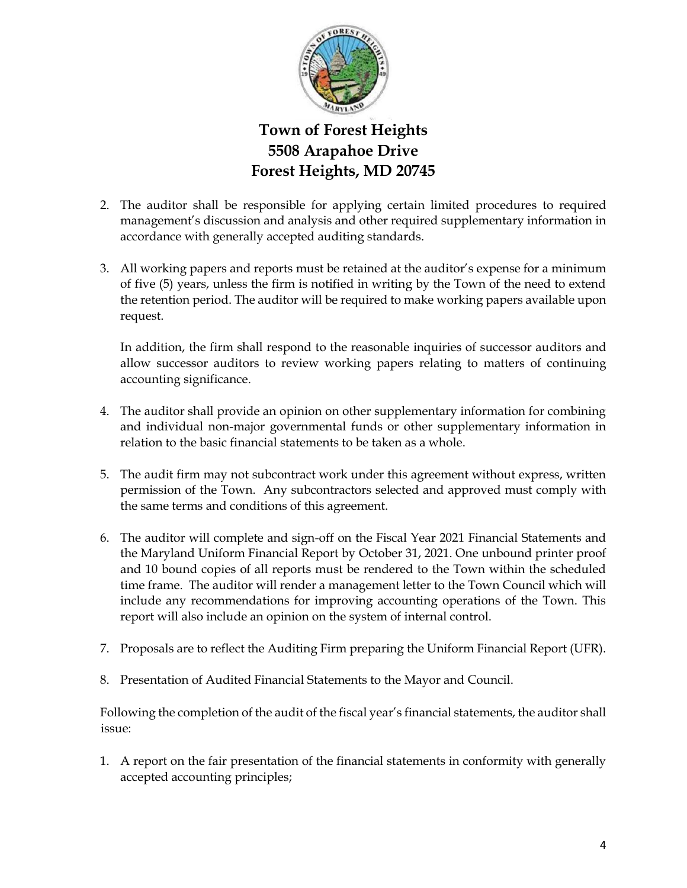

- 2. The auditor shall be responsible for applying certain limited procedures to required management's discussion and analysis and other required supplementary information in accordance with generally accepted auditing standards.
- 3. All working papers and reports must be retained at the auditor's expense for a minimum of five (5) years, unless the firm is notified in writing by the Town of the need to extend the retention period. The auditor will be required to make working papers available upon request.

In addition, the firm shall respond to the reasonable inquiries of successor auditors and allow successor auditors to review working papers relating to matters of continuing accounting significance.

- 4. The auditor shall provide an opinion on other supplementary information for combining and individual non-major governmental funds or other supplementary information in relation to the basic financial statements to be taken as a whole.
- 5. The audit firm may not subcontract work under this agreement without express, written permission of the Town. Any subcontractors selected and approved must comply with the same terms and conditions of this agreement.
- 6. The auditor will complete and sign-off on the Fiscal Year 2021 Financial Statements and the Maryland Uniform Financial Report by October 31, 2021. One unbound printer proof and 10 bound copies of all reports must be rendered to the Town within the scheduled time frame. The auditor will render a management letter to the Town Council which will include any recommendations for improving accounting operations of the Town. This report will also include an opinion on the system of internal control.
- 7. Proposals are to reflect the Auditing Firm preparing the Uniform Financial Report (UFR).
- 8. Presentation of Audited Financial Statements to the Mayor and Council.

Following the completion of the audit of the fiscal year's financial statements, the auditor shall issue:

1. A report on the fair presentation of the financial statements in conformity with generally accepted accounting principles;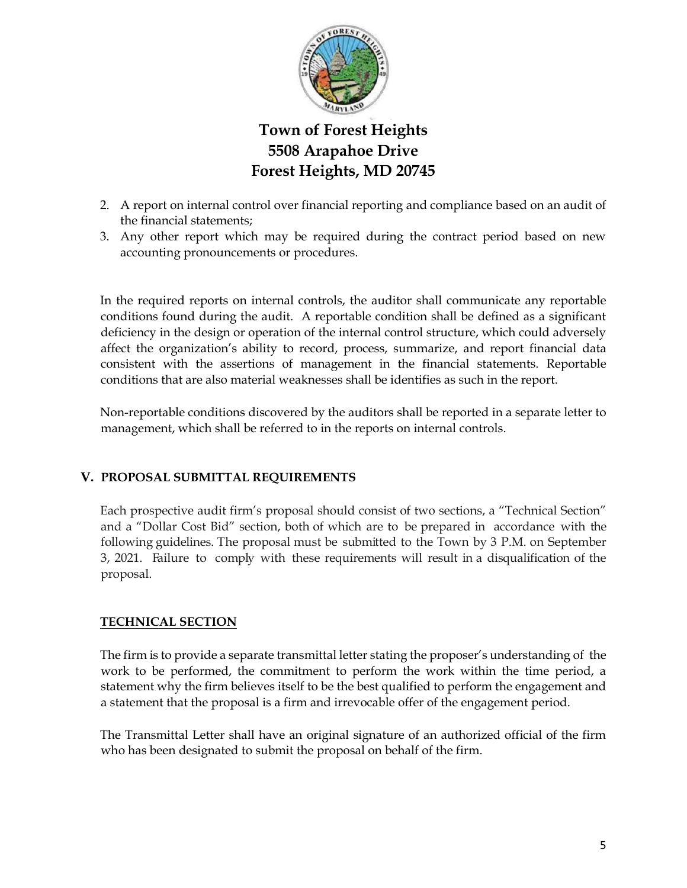

- 2. A report on internal control over financial reporting and compliance based on an audit of the financial statements;
- 3. Any other report which may be required during the contract period based on new accounting pronouncements or procedures.

In the required reports on internal controls, the auditor shall communicate any reportable conditions found during the audit. A reportable condition shall be defined as a significant deficiency in the design or operation of the internal control structure, which could adversely affect the organization's ability to record, process, summarize, and report financial data consistent with the assertions of management in the financial statements. Reportable conditions that are also material weaknesses shall be identifies as such in the report.

Non-reportable conditions discovered by the auditors shall be reported in a separate letter to management, which shall be referred to in the reports on internal controls.

### **V. PROPOSAL SUBMITTAL REQUIREMENTS**

Each prospective audit firm's proposal should consist of two sections, a "Technical Section" and a "Dollar Cost Bid" section, both of which are to be prepared in accordance with the following guidelines. The proposal must be submitted to the Town by 3 P.M. on September 3, 2021. Failure to comply with these requirements will result in a disqualification of the proposal.

## **TECHNICAL SECTION**

The firm is to provide a separate transmittal letter stating the proposer's understanding of the work to be performed, the commitment to perform the work within the time period, a statement why the firm believes itself to be the best qualified to perform the engagement and a statement that the proposal is a firm and irrevocable offer of the engagement period.

The Transmittal Letter shall have an original signature of an authorized official of the firm who has been designated to submit the proposal on behalf of the firm.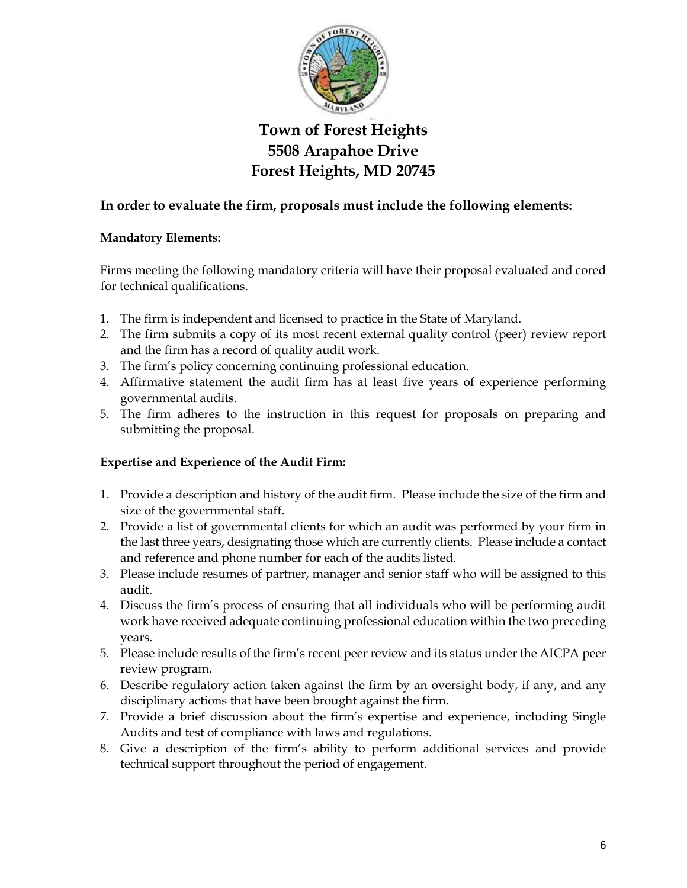

## **In order to evaluate the firm, proposals must include the following elements:**

### **Mandatory Elements:**

Firms meeting the following mandatory criteria will have their proposal evaluated and cored for technical qualifications.

- 1. The firm is independent and licensed to practice in the State of Maryland.
- 2. The firm submits a copy of its most recent external quality control (peer) review report and the firm has a record of quality audit work.
- 3. The firm's policy concerning continuing professional education.
- 4. Affirmative statement the audit firm has at least five years of experience performing governmental audits.
- 5. The firm adheres to the instruction in this request for proposals on preparing and submitting the proposal.

## **Expertise and Experience of the Audit Firm:**

- 1. Provide a description and history of the audit firm. Please include the size of the firm and size of the governmental staff.
- 2. Provide a list of governmental clients for which an audit was performed by your firm in the last three years, designating those which are currently clients. Please include a contact and reference and phone number for each of the audits listed.
- 3. Please include resumes of partner, manager and senior staff who will be assigned to this audit.
- 4. Discuss the firm's process of ensuring that all individuals who will be performing audit work have received adequate continuing professional education within the two preceding years.
- 5. Please include results of the firm's recent peer review and its status under the AICPA peer review program.
- 6. Describe regulatory action taken against the firm by an oversight body, if any, and any disciplinary actions that have been brought against the firm.
- 7. Provide a brief discussion about the firm's expertise and experience, including Single Audits and test of compliance with laws and regulations.
- 8. Give a description of the firm's ability to perform additional services and provide technical support throughout the period of engagement.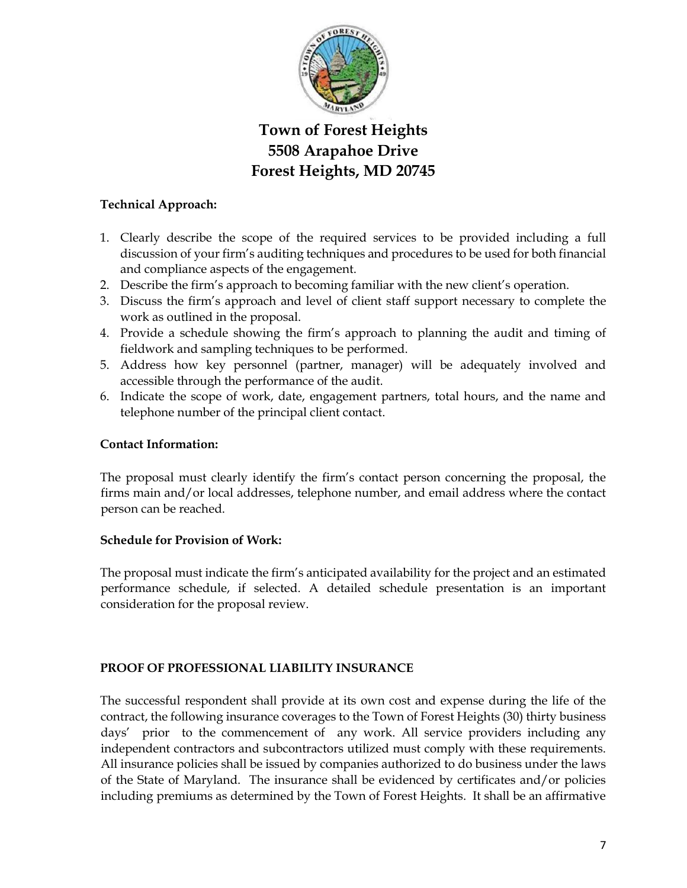

### **Technical Approach:**

- 1. Clearly describe the scope of the required services to be provided including a full discussion of your firm's auditing techniques and procedures to be used for both financial and compliance aspects of the engagement.
- 2. Describe the firm's approach to becoming familiar with the new client's operation.
- 3. Discuss the firm's approach and level of client staff support necessary to complete the work as outlined in the proposal.
- 4. Provide a schedule showing the firm's approach to planning the audit and timing of fieldwork and sampling techniques to be performed.
- 5. Address how key personnel (partner, manager) will be adequately involved and accessible through the performance of the audit.
- 6. Indicate the scope of work, date, engagement partners, total hours, and the name and telephone number of the principal client contact.

### **Contact Information:**

The proposal must clearly identify the firm's contact person concerning the proposal, the firms main and/or local addresses, telephone number, and email address where the contact person can be reached.

### **Schedule for Provision of Work:**

The proposal must indicate the firm's anticipated availability for the project and an estimated performance schedule, if selected. A detailed schedule presentation is an important consideration for the proposal review.

### **PROOF OF PROFESSIONAL LIABILITY INSURANCE**

The successful respondent shall provide at its own cost and expense during the life of the contract, the following insurance coverages to the Town of Forest Heights (30) thirty business days' prior to the commencement of any work. All service providers including any independent contractors and subcontractors utilized must comply with these requirements. All insurance policies shall be issued by companies authorized to do business under the laws of the State of Maryland. The insurance shall be evidenced by certificates and/or policies including premiums as determined by the Town of Forest Heights. It shall be an affirmative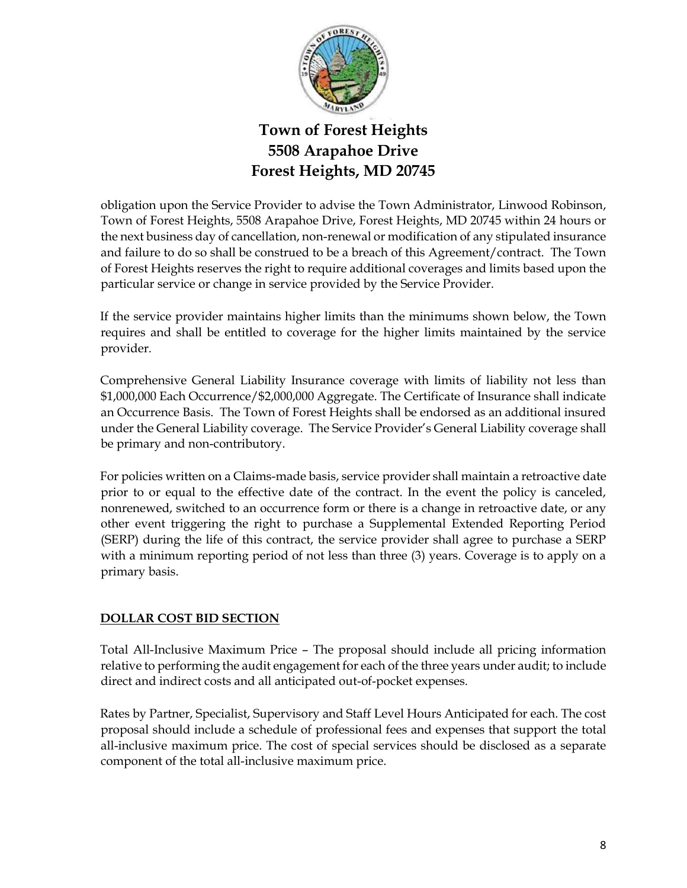

obligation upon the Service Provider to advise the Town Administrator, Linwood Robinson, Town of Forest Heights, 5508 Arapahoe Drive, Forest Heights, MD 20745 within 24 hours or the next business day of cancellation, non-renewal or modification of any stipulated insurance and failure to do so shall be construed to be a breach of this Agreement/contract. The Town of Forest Heights reserves the right to require additional coverages and limits based upon the particular service or change in service provided by the Service Provider.

If the service provider maintains higher limits than the minimums shown below, the Town requires and shall be entitled to coverage for the higher limits maintained by the service provider.

Comprehensive General Liability Insurance coverage with limits of liability not less than \$1,000,000 Each Occurrence/\$2,000,000 Aggregate. The Certificate of Insurance shall indicate an Occurrence Basis. The Town of Forest Heights shall be endorsed as an additional insured under the General Liability coverage. The Service Provider's General Liability coverage shall be primary and non-contributory.

For policies written on a Claims-made basis, service provider shall maintain a retroactive date prior to or equal to the effective date of the contract. In the event the policy is canceled, nonrenewed, switched to an occurrence form or there is a change in retroactive date, or any other event triggering the right to purchase a Supplemental Extended Reporting Period (SERP) during the life of this contract, the service provider shall agree to purchase a SERP with a minimum reporting period of not less than three (3) years. Coverage is to apply on a primary basis.

## **DOLLAR COST BID SECTION**

Total All-Inclusive Maximum Price – The proposal should include all pricing information relative to performing the audit engagement for each of the three years under audit; to include direct and indirect costs and all anticipated out-of-pocket expenses.

Rates by Partner, Specialist, Supervisory and Staff Level Hours Anticipated for each. The cost proposal should include a schedule of professional fees and expenses that support the total all-inclusive maximum price. The cost of special services should be disclosed as a separate component of the total all-inclusive maximum price.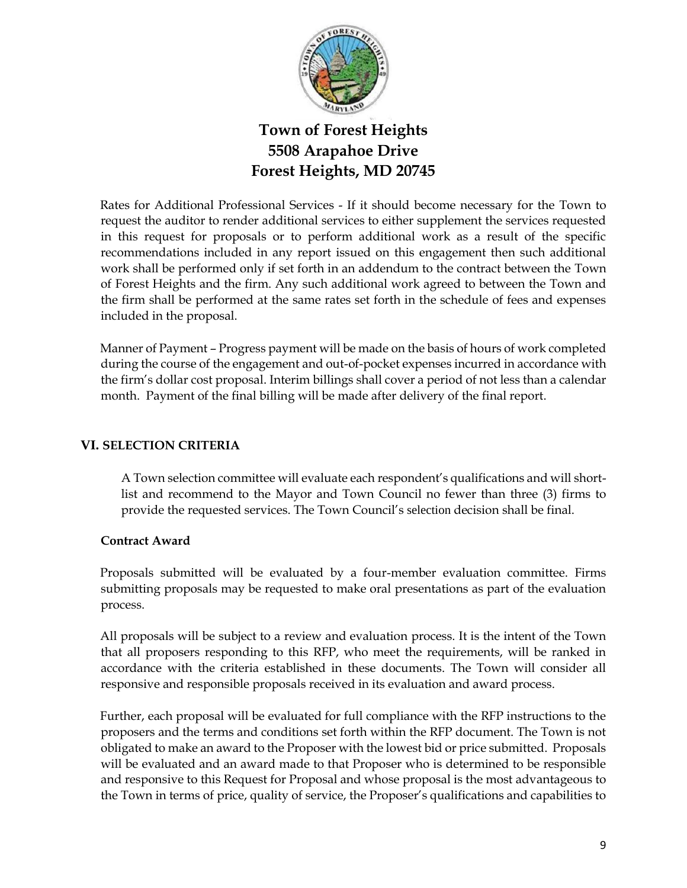

Rates for Additional Professional Services - If it should become necessary for the Town to request the auditor to render additional services to either supplement the services requested in this request for proposals or to perform additional work as a result of the specific recommendations included in any report issued on this engagement then such additional work shall be performed only if set forth in an addendum to the contract between the Town of Forest Heights and the firm. Any such additional work agreed to between the Town and the firm shall be performed at the same rates set forth in the schedule of fees and expenses included in the proposal.

Manner of Payment – Progress payment will be made on the basis of hours of work completed during the course of the engagement and out-of-pocket expenses incurred in accordance with the firm's dollar cost proposal. Interim billings shall cover a period of not less than a calendar month. Payment of the final billing will be made after delivery of the final report.

### **VI. SELECTION CRITERIA**

A Town selection committee will evaluate each respondent's qualifications and will shortlist and recommend to the Mayor and Town Council no fewer than three (3) firms to provide the requested services. The Town Council's selection decision shall be final.

### **Contract Award**

Proposals submitted will be evaluated by a four-member evaluation committee. Firms submitting proposals may be requested to make oral presentations as part of the evaluation process.

All proposals will be subject to a review and evaluation process. It is the intent of the Town that all proposers responding to this RFP, who meet the requirements, will be ranked in accordance with the criteria established in these documents. The Town will consider all responsive and responsible proposals received in its evaluation and award process.

Further, each proposal will be evaluated for full compliance with the RFP instructions to the proposers and the terms and conditions set forth within the RFP document. The Town is not obligated to make an award to the Proposer with the lowest bid or price submitted. Proposals will be evaluated and an award made to that Proposer who is determined to be responsible and responsive to this Request for Proposal and whose proposal is the most advantageous to the Town in terms of price, quality of service, the Proposer's qualifications and capabilities to